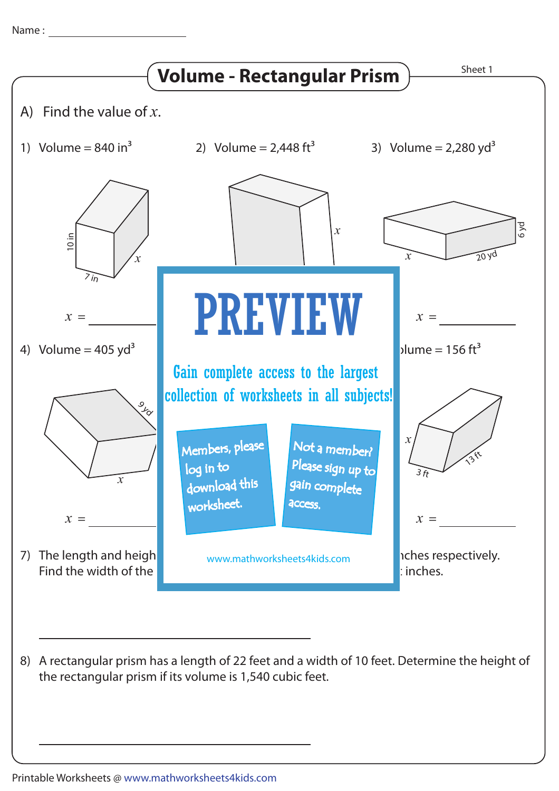Name : Name :